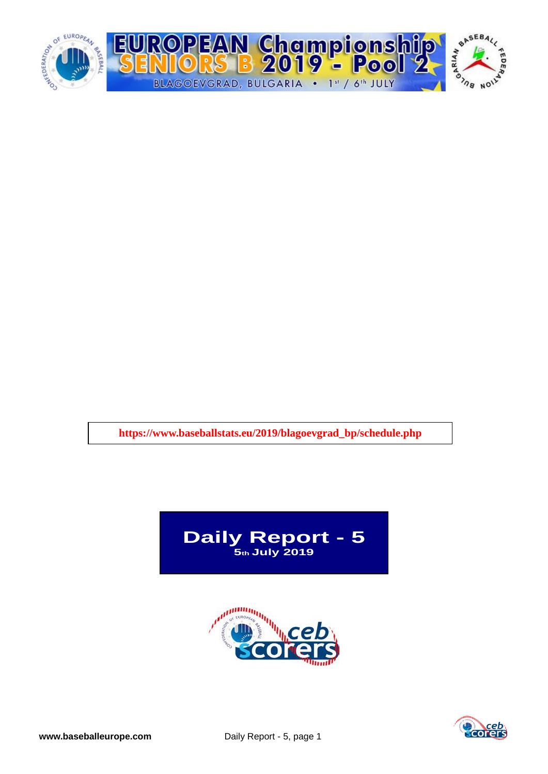

**https://www.baseballstats.eu/2019/blagoevgrad\_bp/schedule.php**





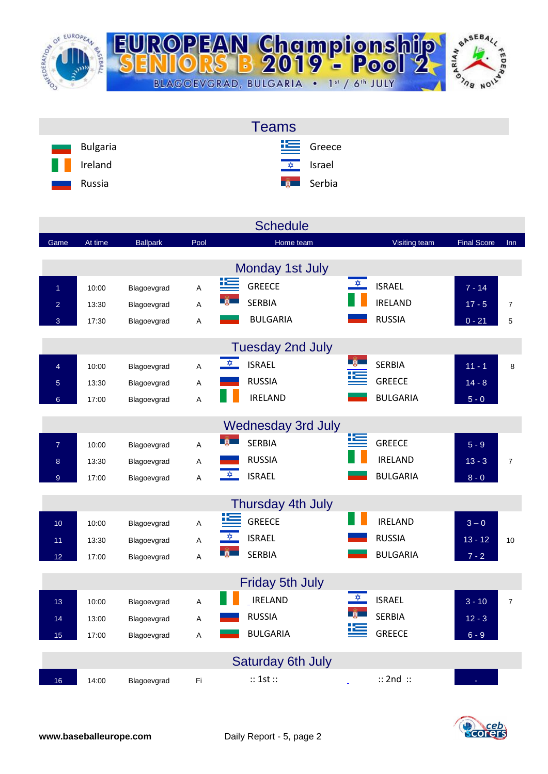

|                             | <b>Teams</b>              |
|-----------------------------|---------------------------|
| Bulgaria<br><u>entrance</u> | $E$ Greece                |
| H<br>Ireland                | <u><del>↓</del> srael</u> |
| Russia<br>ـــ               | <b>External</b> Serbia    |

|                 |         |                 |      | <b>Schedule</b>                             |                 |                    |                |
|-----------------|---------|-----------------|------|---------------------------------------------|-----------------|--------------------|----------------|
| Game            | At time | <b>Ballpark</b> | Pool | Home team                                   | Visiting team   | <b>Final Score</b> | Inn            |
|                 |         |                 |      | Monday 1st July                             |                 |                    |                |
| $\overline{1}$  | 10:00   | Blagoevgrad     | A    | <u>is</u><br>$\frac{1}{2}$<br><b>GREECE</b> | <b>ISRAEL</b>   | $7 - 14$           |                |
| $\overline{a}$  | 13:30   | Blagoevgrad     | Α    | $+1$<br><b>SERBIA</b>                       | <b>IRELAND</b>  | $17 - 5$           | $\overline{7}$ |
| 3               | 17:30   | Blagoevgrad     | Α    | <b>BULGARIA</b>                             | <b>RUSSIA</b>   | $0 - 21$           | 5              |
|                 |         |                 |      | <b>Tuesday 2nd July</b>                     |                 |                    |                |
| $\overline{4}$  | 10:00   | Blagoevgrad     | A    | <br><b>ISRAEL</b>                           | <b>SERBIA</b>   | $11 - 1$           | 8              |
| $\overline{5}$  | 13:30   | Blagoevgrad     | A    | <b>RUSSIA</b>                               | <b>GREECE</b>   | $14 - 8$           |                |
| $6\overline{6}$ | 17:00   | Blagoevgrad     | Α    | <b>IRELAND</b>                              | <b>BULGARIA</b> | $5 - 0$            |                |
|                 |         |                 |      | <b>Wednesday 3rd July</b>                   |                 |                    |                |
| $\overline{7}$  | 10:00   | Blagoevgrad     | Α    | 垤<br><b>MA</b><br><b>SERBIA</b>             | <b>GREECE</b>   | $5 - 9$            |                |
| 8               | 13:30   | Blagoevgrad     | Α    | <b>RUSSIA</b>                               | <b>IRELAND</b>  | $13 - 3$           | $\overline{7}$ |
| $\overline{9}$  | 17:00   | Blagoevgrad     | Α    | $\frac{1}{2}$<br><b>ISRAEL</b>              | <b>BULGARIA</b> | $8 - 0$            |                |
|                 |         |                 |      | Thursday 4th July                           |                 |                    |                |
| 10              | 10:00   | Blagoevgrad     | A    | <b>GREECE</b>                               | <b>IRELAND</b>  | $3 - 0$            |                |
| 11              | 13:30   | Blagoevgrad     | Α    | <b>ISRAEL</b><br>$\frac{\sqrt{2}}{2}$       | <b>RUSSIA</b>   | $13 - 12$          | 10             |
| 12              | 17:00   | Blagoevgrad     | A    | H<br><b>SERBIA</b>                          | <b>BULGARIA</b> | $7 - 2$            |                |
|                 |         |                 |      | <b>Friday 5th July</b>                      |                 |                    |                |
| 13              | 10:00   | Blagoevgrad     | A    | ✿<br><b>IRELAND</b>                         | <b>ISRAEL</b>   | $3 - 10$           | $\overline{7}$ |
| 14              | 13:00   | Blagoevgrad     | Α    | <b>RUSSIA</b>                               | <b>SERBIA</b>   | $12 - 3$           |                |
| 15              | 17:00   | Blagoevgrad     | A    | <b>BULGARIA</b>                             | <b>GREECE</b>   | $6 - 9$            |                |
|                 |         |                 |      | Saturday 6th July                           |                 |                    |                |
| 16              | 14:00   | Blagoevgrad     | Fi   | :: 1st ::                                   | $::$ 2nd $::$   |                    |                |

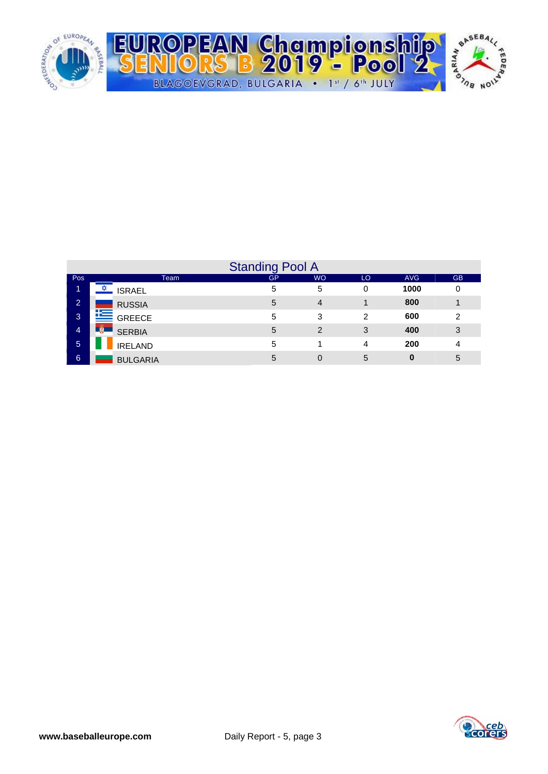

|                |                      | <b>Standing Pool A</b> |                |    |            |           |
|----------------|----------------------|------------------------|----------------|----|------------|-----------|
| Pos            | Team                 | GP                     | <b>WO</b>      | LO | <b>AVG</b> | <b>GB</b> |
| 1              | <b>ISRAEL</b>        | 5                      | 5              | 0  | 1000       | 0         |
| $\overline{2}$ | <b>RUSSIA</b>        | 5                      | 4              |    | 800        |           |
| 3              | <b>E</b> GREECE      | 5                      | 3              | 2  | 600        | 2         |
| 4              | - M<br><b>SERBIA</b> | 5                      | $\overline{2}$ | 3  | 400        | 3         |
| 5              | <b>IRELAND</b>       | 5                      |                | 4  | 200        | 4         |
| 6              | <b>BULGARIA</b>      | 5                      | 0              | 5  | 0          | 5         |

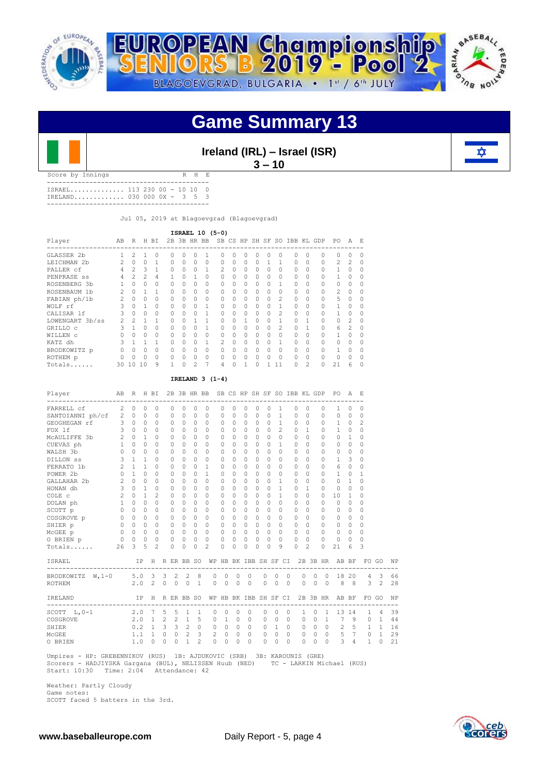



## **Game Summary 13**



**Ireland (IRL) – Israel (ISR) 3 – 10** 

Score by Innings R H E ------------------------------------------ ISRAEL.............. 113 230 00 - 10 10 0 IRELAND............. 030 000 0X - 3 5 3

------------------------------------------

Jul 05, 2019 at Blagoevgrad (Blagoevgrad)

| ISRAEL 10 (5-0)<br>SB CS HP SH SF SO IBB KL GDP |                |                |                |          |          |          |          |             |                |          |          |           |          |                |          |          |                |                |            |
|-------------------------------------------------|----------------|----------------|----------------|----------|----------|----------|----------|-------------|----------------|----------|----------|-----------|----------|----------------|----------|----------|----------------|----------------|------------|
| Player                                          | AB             | R              |                | H BI     |          |          |          | 2B 3B HR BB |                |          |          |           |          |                |          |          | PO.            | A              | $_{\rm E}$ |
| GLASSER 2b                                      |                | $\mathfrak{D}$ |                |          | O        | $\Omega$ |          |             |                | $\Omega$ |          |           |          |                | $\cap$   |          | U              |                |            |
| LEICHMAN 2b                                     | $\mathfrak{D}$ | $\Omega$       | $\Omega$       |          | $\Omega$ | $\Omega$ | $\Omega$ | $\Omega$    | $\Omega$       | $\Omega$ | $\Omega$ | $\Omega$  |          |                | $\Omega$ | $\Omega$ | $\mathfrak{D}$ | $\mathfrak{D}$ | $\Omega$   |
| PALLER cf                                       |                | $\mathcal{L}$  | 3              |          | $\Omega$ | $\Omega$ | $\Omega$ |             | $\mathfrak{D}$ | $\Omega$ | $\Omega$ | $\bigcap$ | U        |                | $\cap$   |          |                |                | $\Omega$   |
| PENPRASE ss                                     | 4              | $\mathfrak{D}$ | $\mathfrak{D}$ | 4        |          | $\Omega$ |          | $\Omega$    | $\cap$         | $\Omega$ | $\Omega$ | $\bigcap$ | $\cap$   | 0              | $\Omega$ |          |                |                | $\Omega$   |
| ROSENBERG 3b                                    |                |                | $\cap$         |          | $\cap$   | 0        | 0        | $\Omega$    | $\bigcap$      | $\Omega$ | $\Omega$ | $\Omega$  | $\Omega$ |                | $\cap$   |          | $\cap$         | Λ              | $\cap$     |
| ROSENBAUM 1b                                    | 2              | $\Omega$       |                |          | $\Omega$ | 0        | 0        | $\Omega$    | $\bigcap$      | $\Omega$ | $\Omega$ | $\cap$    | $\Omega$ | U              | $\Omega$ |          | $\mathfrak{D}$ | Λ              | $\cap$     |
| FABIAN ph/1b                                    |                | $\cap$         | $\cap$         | O        | O.       | U        | O        | $\Omega$    | $\cap$         | O        | $\cap$   | $\cap$    | $\cap$   | $\mathfrak{D}$ | $\cap$   |          | 5              | Λ              | $\cap$     |
| WOLF rf                                         | 3              | $\Omega$       |                | $\Omega$ | $\Omega$ | 0        | 0        |             | $\bigcap$      | $\Omega$ | $\Omega$ | $\cap$    | $\cap$   |                | $\Omega$ | $\Omega$ |                | U              | $\cap$     |
| CALISAR 1f                                      | Κ              | O              | $\cap$         |          | O.       | U        | O        |             | $\cap$         | O        | $\cap$   | $\bigcap$ | U        | 2              | $\cap$   |          |                | U              | $\cap$     |
| LOWENGART 3b/ss                                 | 2              | $\mathfrak{D}$ |                |          |          |          |          |             |                |          |          |           | U        |                |          |          | $\cap$         | $\mathfrak{D}$ | $\cap$     |
| GRILLO C                                        |                |                |                |          |          | O        |          |             |                |          |          |           | U        | 2              |          |          | 6              | $\mathfrak{D}$ | $\Omega$   |
| WILLEN C                                        |                |                |                |          | O.       | O        |          | O           | $\cap$         | O        |          | $\cap$    | U        |                | $\cap$   |          |                |                | $\Omega$   |
| KATZ dh                                         |                |                |                | 1        | $\Omega$ | O        | O        |             | $\mathcal{P}$  | $\Omega$ | O        | $\bigcap$ | U        |                | $\cap$   |          | $\cap$         | Λ              | $\Omega$   |
| BRODKOWITZ p                                    |                |                | O              | O        | $\Omega$ | U        | O        | $\Omega$    | $\cap$         | O        | O        | $\bigcap$ | O        |                | $\cap$   |          |                | Λ              | $\cap$     |
| ROTHEM p                                        |                |                | ∩              | U        | O.       | U        | U        | O           | $\cap$         | O        | $\cap$   | $\cap$    | U        |                | $\cap$   |          | $\cap$         | Λ              | $\cap$     |
| Totals                                          | 30             | 1 O            | 10             | 9        |          | O        | 2        |             | 4              | U        |          | $\cap$    |          | 11             | $\cap$   | 2        | 21             | 6              |            |

### **IRELAND 3 (1-4)**

| Player                   | AB             | R            |              | H BI            |          |                |                |                          | 2B 3B HR BB SB CS HP SH SF SO IBB KL GDP |                       |          |           |          |          |              |                |           |                |              |                | PO.            | A              | - F            |              |    |
|--------------------------|----------------|--------------|--------------|-----------------|----------|----------------|----------------|--------------------------|------------------------------------------|-----------------------|----------|-----------|----------|----------|--------------|----------------|-----------|----------------|--------------|----------------|----------------|----------------|----------------|--------------|----|
| FARRELL cf               | 2              | 0            | 0            | $\circ$         |          | $\Omega$       | $\Omega$       | 0                        | 0                                        | $\Omega$              | $\Omega$ | 0         | $\Omega$ |          | 0            | 1              | 0         | $\Omega$       |              | 0              | 1              | 0              | $\Omega$       |              |    |
| SANTOIANNI ph/cf 2       |                | $\Omega$     | $\Omega$     | $\Omega$        |          | $\Omega$       | $\Omega$       | $\Omega$                 | $\Omega$                                 | $\Omega$              | $\Omega$ | $\Omega$  | $\Omega$ |          | $\Omega$     | $\mathbf{1}$   | $\Omega$  | $\Omega$       |              | 0              | $\Omega$       | $\Omega$       | $\Omega$       |              |    |
| $\sim$ 3<br>GEOGHEGAN rf |                | $\Omega$     | $\Omega$     | $\Omega$        |          | $\Omega$       | $\Omega$       | $\Omega$                 | $\Omega$                                 | $\Omega$              | $\Omega$ | $\Omega$  | $\Omega$ |          | 0            | $\mathbf{1}$   | $\Omega$  | $\Omega$       |              | $\Omega$       | $\mathbf{1}$   | $\Omega$       | $\overline{c}$ |              |    |
| FOX 1f                   | 3              | $\Omega$     | $\Omega$     | $\Omega$        |          | $\Omega$       | $\Omega$       | $\Omega$                 | $\Omega$                                 | $\Omega$              | $\cap$   | $\Omega$  | $\Omega$ |          | 0            | $\mathfrak{D}$ | $\Omega$  | $\mathbf{1}$   |              | $\Omega$       | 1              | $\Omega$       | $\Omega$       |              |    |
| MCAULIFFE 3b             | 2              | $\cap$       | $\mathbf{1}$ | $\Omega$        |          | $\Omega$       | $\Omega$       | $\Omega$                 | $\Omega$                                 | $\Omega$              | $\Omega$ | $\Omega$  | $\Omega$ |          | 0            | $\Omega$       | $\cap$    | $\Omega$       |              | $\Omega$       | 0              | $\mathbf{1}$   | $\Omega$       |              |    |
| CUEVAS ph                | $\mathbf{1}$   | $\cap$       | $\cap$       | $\Omega$        |          | $\Omega$       | $\cap$         | $\Omega$                 | $\Omega$                                 | $\Omega$              | $\Omega$ | $\Omega$  | $\cap$   |          | $\Omega$     | $\mathbf{1}$   | $\cap$    | $\Omega$       |              | $\Omega$       | $\Omega$       | $\Omega$       | $\Omega$       |              |    |
| WALSH 3b                 | $\Omega$       | $\Omega$     | $\Omega$     | $\Omega$        |          | $\Omega$       | $\Omega$       | $\Omega$                 | $\Omega$                                 | $\Omega$              | $\Omega$ | $\Omega$  | $\Omega$ |          | 0            | $\cap$         | $\Omega$  | $\Omega$       |              | $\Omega$       | 0              | $\Omega$       | $\Omega$       |              |    |
| DILLON SS                | 3              | $\mathbf{1}$ | $\mathbf{1}$ | $\Omega$        |          | $\Omega$       | $\Omega$       | $\Omega$                 | $\cap$                                   | $\Omega$              | $\Omega$ | $\Omega$  | $\cap$   |          | 0            | $\bigcap$      | $\Omega$  | $\Omega$       |              | $\Omega$       | 1              | 3              | $\Omega$       |              |    |
| FERRATO 1b               | $\overline{c}$ | $\mathbf{1}$ | $\mathbf{1}$ | $\Omega$        |          | $\Omega$       | $\Omega$       | $\Omega$                 | $\mathbf{1}$                             | $\Omega$              | $\Omega$ | $\Omega$  | $\cap$   |          | 0            | $\bigcap$      | $\Omega$  | $\Omega$       |              | $\Omega$       | 6              | $\circ$        | $\Omega$       |              |    |
| POWER 2b                 | $\Omega$       | $\mathbf{1}$ | $\cap$       | $\Omega$        |          | $\Omega$       | $\Omega$       | $\Omega$                 | $\mathbf{1}$                             | $\Omega$              | $\Omega$ | $\Omega$  | $\cap$   | $\Omega$ |              | $\bigcap$      | $\cap$    | $\Omega$       |              | $\Omega$       | $\mathbf{1}$   | $\Omega$       | 1              |              |    |
| GALLAHAR 2b              | $\overline{c}$ | $\Omega$     | $\cap$       | $\Omega$        |          | $\Omega$       | $\Omega$       | $\Omega$                 | $\cap$                                   | $\Omega$              | $\Omega$ | $\Omega$  | $\Omega$ |          | 0            | $\mathbf{1}$   | $\bigcap$ | $\Omega$       |              | $\Omega$       | $\bigcap$      | $\mathbf{1}$   | $\Omega$       |              |    |
| HONAN dh                 | $\mathbf{3}$   | $\Omega$     | $\mathbf{1}$ | $\Omega$        |          | $\Omega$       | $\Omega$       | $\Omega$                 | $\Omega$                                 | $\Omega$              | $\Omega$ | $\Omega$  | $\Omega$ |          | 0            | $\mathbf{1}$   | $\Omega$  | 1              |              | $\Omega$       | $\Omega$       | $\Omega$       | $\Omega$       |              |    |
| COLE c                   | 2              | $\Omega$     | $\mathbf{1}$ | $\overline{c}$  |          | $\mathbf{0}$   | $\Omega$       | $\Omega$                 | $\Omega$                                 | 0                     | $\Omega$ | $\Omega$  | $\Omega$ |          | $\Omega$     | $\mathbf{1}$   | $\circ$   | $\Omega$       |              | 0              | 10             | $\mathbf{1}$   | $\Omega$       |              |    |
| DOLAN ph                 | $\mathbf{1}$   | $\Omega$     | $\Omega$     | $\Omega$        |          | 0              | $\Omega$       | $\Omega$                 | $\Omega$                                 | 0                     | $\Omega$ | $\Omega$  | $\Omega$ |          | 0            | $\Omega$       | $\Omega$  | $\Omega$       |              | 0              | $\Omega$       | $\Omega$       | $\Omega$       |              |    |
| SCOTT p                  |                | $0 \quad 0$  | $\Omega$     | $\Omega$        |          | 0              | $\Omega$       | $\Omega$                 | $\Omega$                                 | 0                     | $\cap$   | $\Omega$  | $\Omega$ |          | 0            | $\bigcap$      | $\Omega$  | $\Omega$       |              | 0              | $\Omega$       | $\Omega$       | $\Omega$       |              |    |
| COSGROVE p               | $\Omega$       | $\Omega$     | $\Omega$     | $\Omega$        |          | $\Omega$       | $\Omega$       | $\Omega$                 | $\Omega$                                 | $\Omega$              | $\Omega$ | $\Omega$  | $\Omega$ |          | 0            | $\Omega$       | $\Omega$  | $\Omega$       |              | 0              | $\Omega$       | $\Omega$       | $\Omega$       |              |    |
| SHIER p                  |                | $0 \quad 0$  | $\Omega$     | $\Omega$        |          | $\Omega$       | $\Omega$       | $\Omega$                 | $\Omega$                                 | $\Omega$              | $\Omega$ | $\Omega$  | $\Omega$ |          | 0            | $\bigcap$      | $\Omega$  | $\Omega$       |              | 0              | $\Omega$       | $\Omega$       | $\Omega$       |              |    |
| McGEE p                  |                | $0\qquad 0$  | $\Omega$     | $\Omega$        |          | $\Omega$       | $\Omega$       | $\Omega$                 | $\Omega$                                 | $\Omega$              | $\Omega$ | $\Omega$  | $\Omega$ |          | $\Omega$     | $\Omega$       | $\Omega$  | $\Omega$       |              | 0              | $\bigcap$      | $\Omega$       | $\Omega$       |              |    |
| 0 BRIEN p                | $\circ$        | $\Omega$     | $\Omega$     | $\Omega$        |          | $\Omega$       | $\Omega$       | $\Omega$                 | $\Omega$                                 | $\Omega$              | $\Omega$ | $\Omega$  | $\Omega$ |          | 0            | $\cap$         | $\Omega$  | $\Omega$       |              | $\Omega$       | $\Omega$       | $\Omega$       | $\Omega$       |              |    |
| Totals                   | 26             | 3            | 5            | $\overline{c}$  |          | $\Omega$       | $\Omega$       | $\Omega$                 | $\overline{c}$                           | $\Omega$              | $\Omega$ | O         | $\cap$   |          | $\Omega$     | 9              | $\Omega$  | $\overline{2}$ |              | $\Omega$       | 21             | 6              | 3              |              |    |
| <b>ISRAEL</b>            |                |              | IP           |                 |          |                |                |                          | H R ER BB SO WP HB BK IBB SH SF CI       |                       |          |           |          |          |              |                |           |                |              |                | 2B 3B HR AB BF |                |                | FO GO        | NP |
| BRODKOWITZ W, 1-0        |                | 5.0          |              | 3               | 3        | $\overline{c}$ | 2              | 8                        | 0                                        | $\mathbf 0$           | 0        | 0         |          | 0        | $\mathbf{0}$ | $\Omega$       |           | 0              | $\mathbf{0}$ | $\Omega$       | 18             | 20             | $\overline{4}$ | 3            | 66 |
| ROTHEM                   |                | 2.0          |              | 2               | $\circ$  | $\Omega$       | $\Omega$       | $\mathbf{1}$             | $\Omega$                                 | $\Omega$              | $\Omega$ | $\Omega$  |          | $\Omega$ | $\Omega$     | $\Omega$       |           | $\Omega$       | $\Omega$     | $\bigcirc$     | 8              | - 8            | 3              | 2            | 28 |
| IRELAND                  |                |              | IP.          | H               |          |                | R ER BB SO     |                          |                                          | WP HB BK IBB SH SF CI |          |           |          |          |              |                |           |                |              | 2B 3B HR       |                | AB BF          | FO.            | GO           | NP |
| SCOTT $L, 0-1$           |                | 2.0          |              | $7\phantom{.0}$ | 5        | 5              | 1              | 1                        | 0                                        | 0                     | $\circ$  | 0         |          | 0        | $\circ$      | 0              |           | 1              | $\circ$      | 1              | 13             | 14             | $\mathbf{1}$   | 4            | 39 |
| COSGROVE                 |                | 2.0          |              | $\overline{1}$  | 2        |                | $2 \quad 1$    | 5                        | $\circ$                                  | $\mathbf{1}$          | $\Omega$ | $\Omega$  |          | $\circ$  | $\Omega$     | $\Omega$       |           | $\Omega$       | $\Omega$     | $\mathbf{1}$   | 7              | 9              | $\Omega$       | $\mathbf{1}$ | 44 |
| SHIER                    |                | 0.2          |              | $\overline{1}$  | 3        | 3 <sup>3</sup> | $\overline{c}$ | $\Omega$                 | $\circ$                                  | $\circ$               | $\Omega$ | $\Omega$  |          | $\circ$  | $\mathbf{1}$ | $\bigcirc$     |           | $\circ$        | $\circ$      | $\overline{0}$ | 2              | 5              | $\overline{1}$ | $\mathbf{1}$ | 16 |
| MCGEE                    |                | 1.1          |              | 1               | $\Omega$ | $\circ$        | $\overline{c}$ | 3                        | $\mathbf{2}$                             | $\Omega$              | $\Omega$ | $\Omega$  |          | $\Omega$ | $\Omega$     | $\Omega$       |           | $\circ$        | $\Omega$     | $\Omega$       | 5              | $\overline{7}$ | $\Omega$       | $\mathbf{1}$ | 29 |
| O BRIEN                  |                | 1.0          |              | $\Omega$        | $\Omega$ | $\Omega$       | $\mathbf{1}$   | $\overline{\mathcal{L}}$ | $\cap$                                   | $\Omega$              | $\cap$   | $\bigcap$ |          | $\cap$   | $\Omega$     | $\Omega$       |           | $\Omega$       | $\Omega$     | $\Omega$       | 3              | 4              | $\mathbf{1}$   | O            | 21 |
|                          |                |              |              |                 |          |                |                |                          |                                          |                       |          |           |          |          |              |                |           |                |              |                |                |                |                |              |    |

 Umpires - HP: GREBENNIKOV (RUS) 1B: AJDUKOVIC (SRB) 3B: KAROUNIS (GRE) Scorers - HADJIYSKA Gargana (BUL), NELISSEN Huub (NED) TC - LARKIN Michael (RUS) Start: 10:30 Time: 2:04 Attendance: 42

Weather: Partly Cloudy

Game notes: SCOTT faced 5 batters in the 3rd.

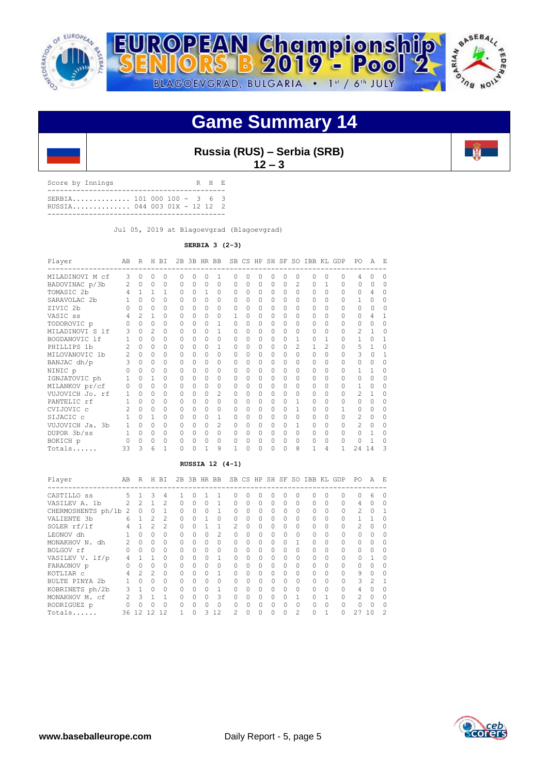

## **Game Summary 14**



Score by Innings R H E ------------------------------------------- SERBIA.............. 101 000 100 - 3 6 3 RUSSIA.............. 044 003 01X - 12 12 2 -------------------------------------------

Jul 05, 2019 at Blagoevgrad (Blagoevgrad)

### **SERBIA 3 (2-3)**

| Player          | AB             | R              |                | H BI         |          |          |              | 2B 3B HR BB    | <b>SB</b> |          |          |          |          |                |          |               | CS HP SH SF SO IBB KL GDP | PO.            | A        | E.       |
|-----------------|----------------|----------------|----------------|--------------|----------|----------|--------------|----------------|-----------|----------|----------|----------|----------|----------------|----------|---------------|---------------------------|----------------|----------|----------|
| MILADINOVI M cf | 3              | $\Omega$       | 0              | $\Omega$     | $\Omega$ | O        | $\Omega$     | 1              | ∩         | 0        | O        | O        | 0        | 0              | $\Omega$ | $\Omega$      | $\cap$                    | 4              |          | O        |
| BADOVINAC p/3b  | $\mathfrak{D}$ | $\Omega$       | $\Omega$       | $\Omega$     | $\Omega$ | $\Omega$ | $\Omega$     | $\Omega$       | $\Omega$  | $\Omega$ | $\Omega$ | $\Omega$ | $\Omega$ | $\mathfrak{D}$ | $\Omega$ |               | $\Omega$                  | $\Omega$       | $\cap$   | $\cap$   |
| TOMASIC 2b      | 4              | $1 \quad$      | $\mathbf{1}$   | $\mathbf{1}$ | $\Omega$ | $\Omega$ | $\mathbf{1}$ | 0              | $\Omega$  | $\Omega$ | $\Omega$ | $\Omega$ | $\Omega$ | $\Omega$       | $\Omega$ | $\Omega$      | $\Omega$                  | $\Omega$       | 4        | 0        |
| SARAVOLAC 2b    |                | $\Omega$       | $\Omega$       | $\Omega$     | $\Omega$ | $\Omega$ | $\Omega$     | $\Omega$       | $\Omega$  | $\Omega$ | $\Omega$ | $\Omega$ | $\Omega$ | $\Omega$       | 0        |               | $\Omega$                  | 1              | Ω        | Λ        |
| ZIVIC 2b        |                | $\cap$         | $\Omega$       | $\Omega$     | $\Omega$ | $\Omega$ | $\Omega$     | 0              | $\Omega$  | $\Omega$ | $\Omega$ | $\Omega$ | $\Omega$ | $\Omega$       | $\Omega$ | $\Omega$      | $\Omega$                  | $\cap$         | O        |          |
| VASIC ss        |                | $\mathfrak{D}$ | 1              | $\Omega$     | $\Omega$ | $\Omega$ | $\Omega$     | $\Omega$       | 1         | 0        | 0        | $\Omega$ | $\Omega$ | $\Omega$       | $\Omega$ |               | $\Omega$                  | $\Omega$       |          |          |
| TODOROVIC p     |                | $\cap$         | $\Omega$       | $\Omega$     | $\Omega$ | $\Omega$ | $\Omega$     | 1              | $\Omega$  | $\Omega$ | $\Omega$ | $\Omega$ | $\Omega$ | $\Omega$       | $\Omega$ | $\Omega$      | $\Omega$                  | $\Omega$       | 0        | 0        |
| MILADINOVI S 1f | 3              | $\cap$         | $\mathfrak{D}$ | 0            | $\Omega$ | O        | $\Omega$     | 1              | $\cap$    | O        | $\Omega$ | $\Omega$ | O        | $\Omega$       | 0        | $\cap$        | $\Omega$                  | $\mathfrak{D}$ | 1        | $\cap$   |
| BOGDANOVIC 1f   |                | $\Omega$       | $\Omega$       | $\Omega$     | $\Omega$ | $\Omega$ | $\Omega$     | $\Omega$       | $\Omega$  | 0        | $\Omega$ | $\Omega$ | $\Omega$ | $\mathbf{1}$   | 0        | $\mathbf{1}$  | $\Omega$                  | 1              | $\cap$   |          |
| PHILLIPS 1b     |                | $\cap$         | 0              | 0            | $\cap$   | $\Omega$ | $\Omega$     | $\mathbf{1}$   | $\cap$    | $\Omega$ | O        | $\Omega$ | $\Omega$ | $\mathfrak{D}$ | 1        | $\mathcal{D}$ | $\Omega$                  | 5              | 1        | Λ        |
| MILOVANOVIC 1b  | $\mathcal{L}$  | $\cap$         | 0              | $\Omega$     | $\Omega$ | $\Omega$ | $\Omega$     | 0              | $\Omega$  | 0        | $\Omega$ | $\circ$  | $\Omega$ | $\Omega$       | O        | $\Omega$      | $\Omega$                  | 3              | U        |          |
| BANJAC dh/p     | 3              | $\cap$         | $\Omega$       | 0            | $\Omega$ | $\Omega$ | $\Omega$     | $\Omega$       | $\Omega$  | $\Omega$ | $\Omega$ | $\Omega$ | $\Omega$ | $\Omega$       | 0        | $\cap$        | $\Omega$                  | $\Omega$       | $\cap$   | $\cap$   |
| NINIC p         |                | $\Omega$       | O              | $\Omega$     | $\Omega$ | O        | $\Omega$     | $\Omega$       | $\Omega$  | 0        | $\Omega$ | $\Omega$ | $\Omega$ | $\Omega$       | 0        | $\Omega$      | $\Omega$                  | 1              |          | Λ        |
| IGNJATOVIC ph   |                | $\Omega$       | 1              | $\Omega$     | $\Omega$ | $\Omega$ | $\Omega$     | $\Omega$       | $\Omega$  | O        | O        | $\Omega$ | $\Omega$ | $\Omega$       | $\Omega$ | $\Omega$      | $\Omega$                  | $\Omega$       | $\cap$   | $\cap$   |
| MILANKOV pr/cf  | $\Omega$       | $\Omega$       | $\Omega$       | $\Omega$     | $\Omega$ | 0        | $\Omega$     | $\Omega$       | $\Omega$  | 0        | $\Omega$ | $\Omega$ | $\Omega$ | $\Omega$       | 0        | $\Omega$      | $\Omega$                  | 1              | $\cap$   | 0        |
| VUJOVICH Jo. rf | 1              | $\Omega$       | $\Omega$       | $\Omega$     | $\Omega$ | $\Omega$ | $\Omega$     | $\mathcal{D}$  | $\Omega$  | $\Omega$ | $\Omega$ | $\Omega$ | $\Omega$ | $\Omega$       | 0        | $\Omega$      | $\Omega$                  | $\mathfrak{D}$ | 1        | $\Omega$ |
| PANTELIC rf     |                | $\Omega$       | $\Omega$       | $\Omega$     | $\Omega$ | 0        | $\Omega$     | $\Omega$       | $\Omega$  | 0        | $\Omega$ | $\Omega$ | $\Omega$ | 1              | 0        | $\Omega$      | $\Omega$                  | $\cap$         | $\Omega$ | 0        |
| CVIJOVIC c      | $\mathfrak{D}$ | $\Omega$       | $\Omega$       | $\Omega$     | $\Omega$ | $\Omega$ | $\Omega$     | $\Omega$       | $\Omega$  | $\Omega$ | $\Omega$ | $\Omega$ | $\Omega$ | $\mathbf{1}$   | 0        | $\Omega$      | 1                         | $\Omega$       | $\cap$   | 0        |
| SIJACIC c       |                | $\cap$         | 1              | $\Omega$     | $\Omega$ | O        | $\Omega$     | 1              | $\Omega$  | 0        | $\Omega$ | $\Omega$ | 0        | $\Omega$       | 0        |               | $\Omega$                  | $\overline{2}$ |          |          |
| VUJOVICH Ja. 3b | $\mathbf{1}$   | $\Omega$       | $\Omega$       | $\Omega$     | $\Omega$ | 0        | $\Omega$     | $\mathfrak{D}$ | $\Omega$  | 0        | $\Omega$ | $\Omega$ | $\Omega$ | 1              | $\Omega$ | $\Omega$      | $\Omega$                  | $\mathfrak{D}$ |          |          |
| DUPOR 3b/ss     | $\mathbf{1}$   | $\Omega$       | $\Omega$       | $\Omega$     | $\Omega$ | $\Omega$ | $\Omega$     | $\Omega$       | $\Omega$  | $\Omega$ | $\Omega$ | $\Omega$ | $\Omega$ | $\Omega$       | $\Omega$ | $\Omega$      | $\Omega$                  | $\Omega$       |          |          |
| BOKICH p        |                | $\Omega$       | $\Omega$       | $\Omega$     | $\Omega$ | $\Omega$ | $\Omega$     | 0              | $\Omega$  | $\Omega$ | $\Omega$ | $\circ$  | $\Omega$ | $\circ$        | $\Omega$ | $\Omega$      | $\cap$                    | 0              |          | $\Omega$ |
| Totals          | 33             | 3              | 6              |              | $\Omega$ | $\cap$   | 1            | 9              |           |          | O        | $\Omega$ |          | 8              | 1        | 4             | 1                         | 24             | 14       | ς        |

#### **RUSSIA 12 (4-1)**

| Player               | AB            | R              | Н             | BI                |          | 2B 3B HR BB |           |          |          |           |           |           |              |               | SB CS HP SH SF SO IBB KL |          | GDP<br>-------------------- | PO.            | Α         | Е        |
|----------------------|---------------|----------------|---------------|-------------------|----------|-------------|-----------|----------|----------|-----------|-----------|-----------|--------------|---------------|--------------------------|----------|-----------------------------|----------------|-----------|----------|
| CASTILLO SS          | .5            |                | 3             | 4                 |          | $\bigcap$   |           |          | 0        | 0         | $\Omega$  | 0         | 0            | $\Omega$      | 0                        |          | <sup>0</sup>                | 0              | 6         | $\Omega$ |
| VASILEV A. 1b        | $\mathcal{P}$ | $\mathfrak{D}$ | 1             | $\mathcal{L}$     | 0        | $\Omega$    |           | 1.       | 0        | $\Omega$  | $\Omega$  | $\Omega$  | 0            | $\Omega$      | $\bigcap$                | $\Omega$ | $\Omega$                    | 4              | $\Omega$  | $\Omega$ |
| CHERMOSHENTS ph/1b 2 |               | $\bigcap$      | $\Omega$      |                   | $\Omega$ | $\Omega$    | $\bigcap$ |          | $\cap$   | $\bigcap$ | $\Omega$  | $\Omega$  | <sup>0</sup> | $\Omega$      | $\cap$                   |          | $\Omega$                    | $\mathfrak{D}$ | $\bigcap$ |          |
| VALIENTE 3b          | 6             |                | $\mathcal{P}$ | 2                 | $\Omega$ | $\Omega$    |           | $\Omega$ | $\Omega$ | $\Omega$  | $\Omega$  | $\Omega$  | $\Omega$     | $\Omega$      | $\Omega$                 | $\cap$   | $\Omega$                    |                |           | ∩        |
| SOLER rf/lf          | 4             |                | 2             | $\mathcal{D}_{1}$ | $\Omega$ |             |           |          | 2.       | $\Omega$  | $\Omega$  | $\Omega$  | $\Omega$     | $\Omega$      | $\Omega$                 |          | $\cap$                      | $\mathfrak{D}$ | $\Omega$  |          |
| LEONOV dh            |               |                | 0             | 0                 | Ω        |             | U         | 2.       | $\cap$   | $\cap$    | $\bigcap$ | $\Omega$  | $\Omega$     | $\Omega$      | $\cap$                   |          | U                           | 0              | $\cap$    |          |
| MONAKHOV N. dh       | $\mathcal{P}$ | $\bigcap$      | $\Omega$      | $\Omega$          | 0        | $\Omega$    | $\Omega$  | 0        | 0        | $\Omega$  | $\Omega$  | $\Omega$  | 0            |               | $\Omega$                 | $\cap$   | $\cap$                      | 0              | 0         |          |
| BOLGOV rf            |               | $\Omega$       | $\Omega$      | $\Omega$          | $\Omega$ | $\Omega$    | $\Omega$  | $\Omega$ | 0        | $\Omega$  | $\Omega$  | $\Omega$  | 0            | $\Omega$      | $\Omega$                 |          |                             | 0              | 0         |          |
| VASILEV V. 1f/p      | 4             |                | 1             | $\Omega$          | $\Omega$ | $\Omega$    | $\bigcap$ |          | $\cap$   | $\Omega$  | $\Omega$  | $\Omega$  | 0            | $\Omega$      | $\cap$                   |          | $\Omega$                    | U              |           |          |
| FARAONOV p           | $\Omega$      | $\Omega$       | $\Omega$      | $\Omega$          | $\Omega$ | $\Omega$    | $\Omega$  | $\Omega$ | 0        | $\Omega$  | $\Omega$  | $\Omega$  | 0            | $\Omega$      | $\Omega$                 | $\Omega$ | $\Omega$                    | O              | O         |          |
| KOTLIAR C            | 4             | $\mathfrak{D}$ | $\mathcal{P}$ | $\Omega$          | $\Omega$ | $\Omega$    | $\Omega$  |          | 0        | $\Omega$  | $\Omega$  | $\Omega$  | 0            | $\Omega$      | $\Omega$                 |          | $\Omega$                    | 9              | 0         |          |
| BULTE PINYA 2b       |               | $\bigcap$      | $\Omega$      | $\Omega$          | $\Omega$ | $\Omega$    | $\bigcap$ | 0        | $\Omega$ | $\Omega$  | $\Omega$  | $\Omega$  | $\Omega$     | $\Omega$      | $\cap$                   |          | $\cap$                      | 3              | 2         |          |
| KOBRINETS ph/2b      | 3             | 1              | $\Omega$      | $\Omega$          | $\Omega$ | $\bigcap$   | $\Omega$  | 1.       | $\Omega$ | $\Omega$  | $\Omega$  | $\bigcap$ | 0            | $\Omega$      | $\Omega$                 | ∩        | $\cap$                      | 4              | 0         | ∩        |
| MONAKHOV M. cf       | $\mathcal{P}$ | Κ              |               | $\mathbf{1}$      | $\Omega$ | $\Omega$    | $\Omega$  | R        | 0        | $\Omega$  | $\Omega$  | $\bigcap$ | 0            |               | $\Omega$                 |          | $\cap$                      | $\mathfrak{D}$ | $\Omega$  | ∩        |
| RODRIGUEZ p          |               | $\cap$         | $\Omega$      | $\Omega$          | $\Omega$ | $\bigcap$   | $\cap$    | $\Omega$ | $\cap$   | $\bigcap$ | $\bigcap$ | $\Omega$  | <sup>0</sup> | $\bigcap$     | $\cap$                   | $\cap$   | $\cap$                      | U              | $\cap$    | ∩        |
| Totals               | 36            | 12.            | 12.           | 12                |          | $\Omega$    | 3         | 12       | 2        | $\Omega$  | $\Omega$  | 0         | 0            | $\mathcal{L}$ | $\Omega$                 |          | $\cap$                      | 27             | 10        | 2        |



 $\mathbb{R}$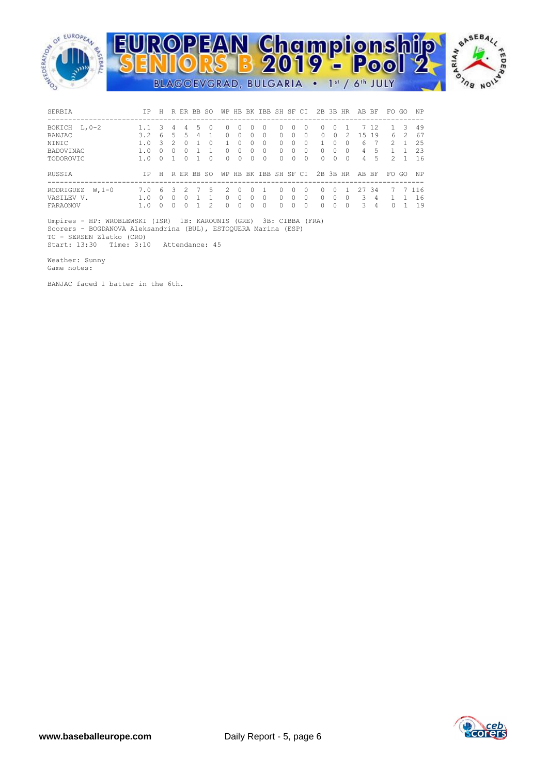

| SERBIA                                         | T P        | H |    |                        |   | R ER BB SO   |                  |               |             | WP HB BK IBB SH SF CI |                                  |                           |               | 2B 3B HR                  |             |                | AB BF            |               | FO.           | - GO | NP                  |
|------------------------------------------------|------------|---|----|------------------------|---|--------------|------------------|---------------|-------------|-----------------------|----------------------------------|---------------------------|---------------|---------------------------|-------------|----------------|------------------|---------------|---------------|------|---------------------|
| BOKICH L, 0-2                                  |            | 3 | 4  | 4                      | 5 | $\bigcap$    | 0                | $\Omega$      | $\bigcap$   | $\Omega$              | $\Omega$                         | $\bigcap$                 | n             | $\Omega$                  | $\Omega$    |                |                  | 7 12          |               | -3   | 49                  |
| BANJAC                                         | 3.2        | 6 | .5 | 5.                     | 4 |              | $\Omega$         | $\Omega$      | 0           | $\Omega$              | $\Omega$                         | 0                         | $\Omega$      | $\Omega$                  | $\Omega$    | $\mathfrak{D}$ | 1.5              | 19            | 6             | 2    | 67                  |
| <b>NTNTC</b>                                   | 1.0        | Κ |    | $\cap$                 |   | <sup>0</sup> |                  | ∩             | 0           | <sup>0</sup>          | $\Omega$                         | 0                         | <sup>0</sup>  |                           | Ω           | <sup>0</sup>   | $6 \overline{6}$ |               | 2             |      | 25                  |
| BADOVINAC                                      | 1.0        | n |    | 0                      |   |              | 0                | $\Omega$      | 0           | <sup>0</sup>          | $\Omega$                         | 0                         | <sup>0</sup>  | $\Omega$                  | 0           | ∩              | 4                | 5             |               |      | 23                  |
| TODOROVIC                                      | 1.0        | U |    | $\cap$                 |   | <sup>0</sup> | $\Omega$         | $\Omega$      | 0           | $\Omega$              | $\Omega$                         | $\Omega$                  | $\Omega$      | $\Omega$                  | $\Omega$    | 0              | 4                | 5             | $\mathcal{P}$ |      | 16                  |
| RUSSIA                                         | TP.        | H |    |                        |   | R ER BB SO   |                  |               |             | WP HB BK IBB SH SF CI |                                  |                           |               | 2B 3B HR                  |             |                | AB BF            |               | FO.           | GO   | NP.                 |
| RODRIGUEZ<br>$W.1-0$<br>VASILEV V.<br>FARAONOV | 7.0<br>1.0 | 6 | 3  | 2<br><sup>0</sup><br>O |   | 5.<br>2      | 2<br>$\cap$<br>0 | $\Omega$<br>0 | 0<br>0<br>O | $\Omega$              | $\Omega$<br>$\Omega$<br>$\Omega$ | $\Omega$<br>$\Omega$<br>O | n<br>$\Omega$ | $\Omega$<br>$\Omega$<br>O | 0<br>0<br>O | <sup>0</sup>   | 27<br>3<br>3     | -34<br>4<br>4 | 7             |      | 7 1 1 6<br>16<br>19 |

 Umpires - HP: WROBLEWSKI (ISR) 1B: KAROUNIS (GRE) 3B: CIBBA (FRA) Scorers - BOGDANOVA Aleksandrina (BUL), ESTOQUERA Marina (ESP) TC - SERSEN Zlatko (CRO) Start: 13:30 Time: 3:10 Attendance: 45

Weather: Sunny

Game notes:

BANJAC faced 1 batter in the 6th.

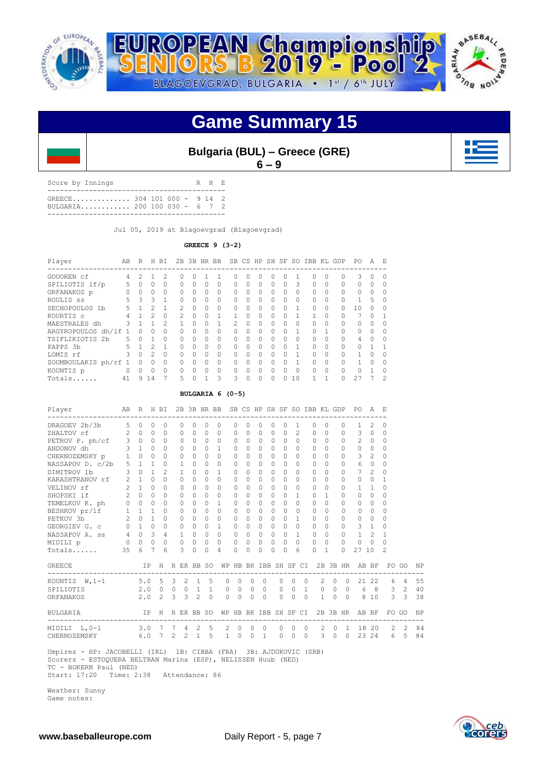

### **Game Summary 15**

| <b>Bulgaria (BUL) - Greece (GRE)</b> |
|--------------------------------------|
| $6 - 9$                              |

Score by Innings R H E ------------------------------------------- GREECE.............. 304 101 000 - 9 14 2 BULGARIA............ 200 100 030 - 6 7 2 -------------------------------------------

Jul 05, 2019 at Blagoevgrad (Blagoevgrad)

### **GREECE 9 (3-2)**

| Player               | AB       | R        | Н  | ВI            |              |   | 2B 3B HR BB  |          |               |   |   |           |              | SB CS HP SH SF SO | IBB KL   |          | GDP                         | PO.      | A            | F.       |
|----------------------|----------|----------|----|---------------|--------------|---|--------------|----------|---------------|---|---|-----------|--------------|-------------------|----------|----------|-----------------------------|----------|--------------|----------|
| GOUOREN cf           | 4        | 2        |    | 2             | <sup>0</sup> | O |              |          | $\cup$        | Ω | Ω | O         | 0            |                   | 0        | 0        | ----------------------<br>0 | 3        | $\Omega$     | $\Omega$ |
| SPILIOTIS lf/p       |          | 0        | 0  | $\Omega$      | $\Omega$     | 0 | $\Omega$     | $\Omega$ | $\Omega$      | 0 | 0 | $\Omega$  | 0            | Κ                 | $\Omega$ | $\Omega$ | $\Omega$                    | $\Omega$ | $\cap$       | O        |
| ORFANAKOS p          |          | 0        | 0  | $\Omega$      | $\Omega$     | 0 | $\Omega$     | $\Omega$ | $\Omega$      | Ω | 0 | $\Omega$  | 0            | $\Omega$          | 0        | $\Omega$ | $\Omega$                    | $\Omega$ |              | O        |
| ROULIS SS            | 5.       | 3        | 3  |               | $\Omega$     | O | <sup>0</sup> | $\Omega$ | $\Omega$      | 0 | 0 | $\bigcap$ | <sup>0</sup> | 0                 | $\Omega$ | $\Omega$ | $\Omega$                    |          | 5            | $\Omega$ |
| SECHOPOULOS 1b       | 5.       |          | っ  |               | 2            | U | $\Omega$     | $\Omega$ | $\Omega$      | U | 0 | $\cap$    | ∩            |                   | $\Omega$ | $\Omega$ | $\cap$                      | 10       |              | ∩        |
| KOURTIS C            |          |          |    | $\Omega$      | 2            | O | 0            |          |               |   | O | $\Omega$  |              |                   |          | $\Omega$ |                             |          |              |          |
| MAESTRALES dh        | 3        |          |    | $\mathcal{P}$ |              | U | O            |          | $\mathcal{P}$ | ∩ | 0 | $\bigcap$ | <sup>0</sup> | 0                 | $\Omega$ | ∩        | $\cap$                      | O.       | <sup>n</sup> | O        |
| ARGYROPOULOS dh/lf 1 |          | $\Omega$ | O  | $\Omega$      | $\Omega$     | U | $\Omega$     | $\Omega$ | $\Omega$      | Ω | O | $\cap$    | $\cap$       |                   | 0        |          | $\cap$                      | $\cap$   |              | ∩        |
| TSIFLIKIOTIS 2b      | 5.       | O        |    | $\Omega$      | $\Omega$     | O | 0            | $\Omega$ | $\Omega$      | Ω | 0 | $\Omega$  | 0            | $\Omega$          | 0        | $\Omega$ | $\Omega$                    | 4        |              | O        |
| PAPPS 3b             | 5.       |          | っ  |               | $\Omega$     | O | <sup>0</sup> | $\Omega$ | $\Omega$      | Λ | 0 | $\bigcap$ | <sup>0</sup> |                   | $\Omega$ | $\Omega$ | $\cap$                      | $\cap$   |              |          |
| LOMIS rf             |          | $\Omega$ | 2  | $\Omega$      | $\cap$       | U | $\Omega$     | $\Omega$ | $\cap$        | Ω | 0 | $\Omega$  | $\cap$       |                   | $\Omega$ | $\Omega$ | $\cap$                      |          |              | ∩        |
| ZOUMBOULAKIS ph/rf   |          | ∩        | O  | $\Omega$      | $\Omega$     | U | 0            | $\Omega$ | $\Omega$      | Ω | O | $\cap$    | Ω            |                   | $\Omega$ | $\Omega$ | $\cap$                      |          |              | O        |
| KOUNTIS p            | $\Omega$ | $\cap$   | 0  | $\Omega$      | $\Omega$     | O | ∩            | $\Omega$ | $\Omega$      | Λ | 0 | $\cap$    | ∩            | O                 | $\Omega$ | $\Omega$ | $\cap$                      | ∩        |              | $\Omega$ |
| Totals               | 41       | 9        | 14 |               | 5            | O | 1            | 3        | 3             | 0 | 0 | $\Omega$  | U            | 10                |          |          |                             | 27       |              | 2        |

#### **BULGARIA 6 (0-5)**

| Player                                                                                                                                                       | AB             | R H BI              |                         |                 |                |              |                 |              | 2B 3B HR BB SB CS HP SH SF SO IBB KL GDP |                       |          |                |           |              |          |                |           |              |         |                     | PO.                                          | AE             |                |               |           |
|--------------------------------------------------------------------------------------------------------------------------------------------------------------|----------------|---------------------|-------------------------|-----------------|----------------|--------------|-----------------|--------------|------------------------------------------|-----------------------|----------|----------------|-----------|--------------|----------|----------------|-----------|--------------|---------|---------------------|----------------------------------------------|----------------|----------------|---------------|-----------|
| DRAGOEV 2b/3b                                                                                                                                                |                | 5 0                 | $\Omega$                | $\Omega$        |                | $\Omega$     | $\Omega$        | $\Omega$     | $\Omega$                                 | $\Omega$              | $\Omega$ | 0              | $\Omega$  | $\Omega$     | 1        |                | $\Omega$  | $\Omega$     |         | $\circ$             | $\mathbf{1}$                                 | 2              | $\Omega$       |               |           |
| ZHALTOV cf                                                                                                                                                   |                | $2 \quad 0$         | $\Omega$                | $\Omega$        |                | $\Omega$     | $\bigcap$       | $\Omega$     | $\Omega$                                 | $\Omega$              | $\Omega$ | $\Omega$       | $\bigcap$ | $\Omega$     |          | $\overline{c}$ | $\Omega$  | $\Omega$     |         | $\Omega$            | 3                                            | $\circ$        | $\Omega$       |               |           |
| PETROV P. ph/cf 3 0 0<br>ANDONOV dh 3 1 0                                                                                                                    |                |                     |                         | $\Omega$        |                | $\mathbf{0}$ | $\Omega$        | $\Omega$     | $\circ$                                  | 0                     | $\Omega$ | $\Omega$       | $\Omega$  | $\Omega$     |          | $\Omega$       | $\Omega$  | $\Omega$     |         | $\circ$             | 2                                            | $\circ$        | $\Omega$       |               |           |
|                                                                                                                                                              |                |                     |                         | $\Omega$        |                | $\circ$      | $\circ$         | 0            | 1                                        | 0                     | $\Omega$ | $\circ$        | $\Omega$  | $\Omega$     | $\Omega$ |                | $\Omega$  | $\Omega$     |         | $\Omega$            | $\circ$                                      | $\circ$        | $\Omega$       |               |           |
| CHERNOZEMSKY p 1                                                                                                                                             |                | $\Omega$            | $\Omega$                | $\Omega$        |                | $\circ$      | $\Omega$        | $\Omega$     | $\Omega$                                 | 0                     | $\Omega$ | $\Omega$       | $\Omega$  | $\Omega$     |          | $\Omega$       | $\Omega$  | $\Omega$     |         | $\Omega$            | 3                                            | 2              | $\Omega$       |               |           |
| NASSAPOV D. c/2b 5 1                                                                                                                                         |                |                     | $\mathbf{1}$            | $\Omega$        |                | $\mathbf{1}$ | $\Omega$        | $\Omega$     | $\Omega$                                 | $\Omega$              | $\Omega$ | $\Omega$       | $\cap$    | $\Omega$     |          | $\Omega$       | $\Omega$  | $\Omega$     |         | $\bigcap$           | 6                                            | $\circ$        | $\Omega$       |               |           |
| DIMITROV 1b                                                                                                                                                  | 3              | $\Omega$            | $\mathbf{1}$            | 2               |                | $\mathbf{1}$ | $\Omega$        | $\Omega$     | 1                                        | $\Omega$              | $\Omega$ | $\Omega$       | $\bigcap$ | $\Omega$     |          | $\Omega$       | $\Omega$  | $\Omega$     |         | $\Omega$            | $7^{\circ}$                                  | $\mathcal{L}$  | 0              |               |           |
| KARASHTRANOV rf                                                                                                                                              | $\overline{2}$ | 1                   | $\Omega$                | $\Omega$        |                | $\Omega$     | $\Omega$        | $\Omega$     | $\Omega$                                 | $\Omega$              | $\Omega$ | $\Omega$       | $\Omega$  | $\Omega$     | $\Omega$ |                | $\Omega$  | $\Omega$     |         | $\Omega$            | $\Omega$                                     | $\Omega$       | $\mathbf{1}$   |               |           |
| VELINOV rf                                                                                                                                                   |                | $2 \quad 1 \quad 0$ |                         | $\Omega$        |                | $\mathbf{0}$ | $\Omega$        | $\Omega$     | $\Omega$                                 | $\circ$               | $\Omega$ | $\Omega$       | $\Omega$  | $\Omega$     |          | $\Omega$       | $\Omega$  | $\Omega$     |         | $\circ$             | $\mathbf{1}$                                 | $\overline{1}$ | $\Omega$       |               |           |
| SHOPSKI lf                                                                                                                                                   |                | $2 \quad 0$         | $\Omega$                | $\bigcap$       |                | $\Omega$     | $\Omega$        | $\Omega$     | $\Omega$                                 | $\Omega$              | $\Omega$ | $\Omega$       | $\bigcap$ | $\Omega$     |          | $\mathbf{1}$   | $\Omega$  | $\mathbf{1}$ |         | $\Omega$            | $\Omega$                                     | $\Omega$       | $\Omega$       |               |           |
| TEMELKOV K. ph 0 0 0                                                                                                                                         |                |                     |                         |                 | $\Omega$       | $\circ$      | $\Omega$        | $\Omega$     | $\mathbf{1}$                             | 0                     | $\Omega$ | $\circ$        | $\bigcap$ | $\Omega$     |          | $\Omega$       | $\Omega$  | $\Omega$     |         | $\Omega$            | $\Omega$                                     | $\circ$        | 0              |               |           |
|                                                                                                                                                              |                | $1 \quad 1 \quad 1$ |                         |                 | $\overline{0}$ | $\circ$      | $\Omega$        | $\Omega$     | $\Omega$                                 | $\Omega$              | $\Omega$ | $\mathbf{0}$   | $\bigcap$ | $\Omega$     |          | $\Omega$       | $\bigcap$ | $\Omega$     |         | $\bigcap$           | $\Omega$                                     | $\Omega$       | $\cap$         |               |           |
| BESHKOV pr/lf 1 1<br>PETKOV 3b 2 0                                                                                                                           |                |                     | $\mathbf{1}$            | $\circ$         |                | $\circ$      | $\circ$         |              | $0\quad 0$                               | 0                     | $\Omega$ | $\circ$        | $\Omega$  | $\Omega$     |          | $\mathbf{1}$   | $\Omega$  | $\Omega$     |         | $\Omega$            | $\circ$                                      | $\circ$        | $\Omega$       |               |           |
| GEORGIEV G. c 0 1 0                                                                                                                                          |                |                     |                         |                 | 0              | $\circ$      | $\Omega$        | $\circ$      | $\mathbf{1}$                             | 0                     | $\Omega$ | $\circ$        | $\Omega$  | $\Omega$     |          | $\Omega$       | $\Omega$  | $\Omega$     |         | $\circ$             | 3                                            | $\overline{1}$ | $\Omega$       |               |           |
| NASSAPOV A. ss 4 0                                                                                                                                           |                |                     | $\overline{\mathbf{3}}$ |                 | $4\degree$     | $\mathbf{1}$ | $\Omega$        | $\Omega$     | $\Omega$                                 | 0                     | $\Omega$ | $\Omega$       | $\Omega$  | $\Omega$     |          | $\mathbf{1}$   | $\Omega$  | $\Omega$     |         | $\Omega$            | $\mathbf{1}$                                 | $\mathfrak{D}$ | 1              |               |           |
| MIDILI p                                                                                                                                                     |                | $0\quad 0\quad 0$   |                         |                 | $\Omega$       | $\circ$      | $\Omega$        | $\Omega$     | $\Omega$                                 | $\Omega$              | $\Omega$ | $\Omega$       | $\Omega$  | $\Omega$     |          | $\Omega$       | $\Omega$  | $\Omega$     |         | $\Omega$            | $\mathbf{0}$                                 | $\circ$        | 0              |               |           |
| Totals                                                                                                                                                       | 35             | 6                   | $\overline{7}$          | 6               |                | 3            | $\Omega$        | $\Omega$     | 4                                        | $\Omega$              | $\Omega$ | $\Omega$       | $\cap$    | $\Omega$     |          | 6              | $\cap$    | 1            |         | $\bigcap$           | 27                                           | 10             | $\mathfrak{D}$ |               |           |
| <b>GREECE</b>                                                                                                                                                |                |                     | IP -                    |                 |                |              | H R ER BB SO    |              |                                          |                       |          |                |           |              |          |                |           |              |         |                     | WP HB BK IBB SH SF CI 2B 3B HR AB BF         |                |                | FO GO         | NP        |
| KOUNTIS W, 1-1                                                                                                                                               |                | $5.0\quad 5$        |                         |                 | $\mathcal{E}$  |              | $2 \t1 \t5$     |              | $\Omega$                                 | $\circ$               | $\Omega$ |                | $\Omega$  | $\Omega$     | $\Omega$ | $\bigcirc$     |           | $2 \ 0$      |         | $\bigcirc$          |                                              | 21 22          |                | 6 4           | 55        |
| SPILIOTIS                                                                                                                                                    |                |                     |                         | $2.0 \t 0 \t 0$ |                |              | $0\quad 1$      | $\mathbf{1}$ | $\mathbf{0}$                             | $\circ$               | $\Omega$ |                | $\Omega$  | $\mathbf{0}$ | $\Omega$ | $\overline{1}$ |           | $\circ$      | $\circ$ | $\overline{0}$      | 6                                            | 8 <sup>8</sup> | $\mathcal{S}$  | 2             | 40        |
| ORFANAKOS                                                                                                                                                    |                |                     | $2.0 \t2$               |                 | 3              | $\mathbf{3}$ | 2               | $\bigcap$    | $\Omega$                                 | $\Omega$              | $\Omega$ |                | $\Omega$  | $\Omega$     | $\Omega$ | $\bigcirc$     |           | $1\,$        | $\circ$ | $\bigcirc$          |                                              | 8 10           | 3              | $\mathcal{B}$ | 38        |
| BULGARIA                                                                                                                                                     |                |                     |                         |                 |                |              | IP H R ER BB SO |              |                                          | WP HB BK IBB SH SF CI |          |                |           |              |          |                |           |              |         | 2B 3B HR            | AB BF<br>----------------------------------- |                |                | FO GO         | <b>NP</b> |
| MIDILI L, 0-1                                                                                                                                                |                |                     |                         |                 |                |              | 3.0 7 7 4 2     | 5            | 2                                        | $\overline{0}$        | $\circ$  | $\overline{0}$ |           | $\circ$      | $\circ$  | $\circ$        |           | 2            | $\circ$ | <sup>1</sup>        |                                              | 18 20          | 2              | $\mathcal{L}$ | 84        |
| CHERNOZEMSKY 6.0 7                                                                                                                                           |                |                     |                         |                 |                |              | $2 \t2 \t1 \t5$ |              |                                          | $1 \quad 0$           | $\Omega$ | $\overline{1}$ |           | $\Omega$     | $\Omega$ | $\bigcirc$     |           |              |         | $3 \quad 0 \quad 0$ | 23 24                                        |                |                | 6 5           | 84        |
| Umpires - HP: JACOBELLI (IRL) 1B: CIBBA (FRA) 3B: AJDUKOVIC (SRB)<br>Scorers - ESTOQUERA BELTRAN Marina (ESP), NELISSEN Huub (NED)<br>TC - BOKERN Paul (NED) |                |                     |                         |                 |                |              |                 |              |                                          |                       |          |                |           |              |          |                |           |              |         |                     |                                              |                |                |               |           |

Start: 17:20 Time: 2:38 Attendance: 86

 Weather: Sunny Game notes:

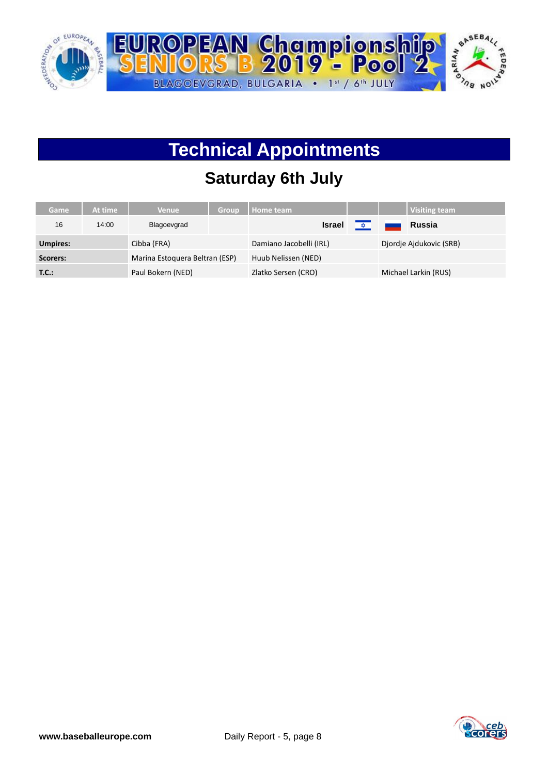

# **Technical Appointments**

## **Saturday 6th July**

| Game            | At time | <b>Venue</b>                   | <b>Group</b> | Home team               |  | <b>Visiting team</b>    |
|-----------------|---------|--------------------------------|--------------|-------------------------|--|-------------------------|
| 16              | 14:00   | Blagoevgrad                    |              | <b>Israel</b>           |  | Russia                  |
| <b>Umpires:</b> |         | Cibba (FRA)                    |              | Damiano Jacobelli (IRL) |  | Djordje Ajdukovic (SRB) |
| Scorers:        |         | Marina Estoquera Beltran (ESP) |              | Huub Nelissen (NED)     |  |                         |
| T.C.:           |         | Paul Bokern (NED)              |              | Zlatko Sersen (CRO)     |  | Michael Larkin (RUS)    |